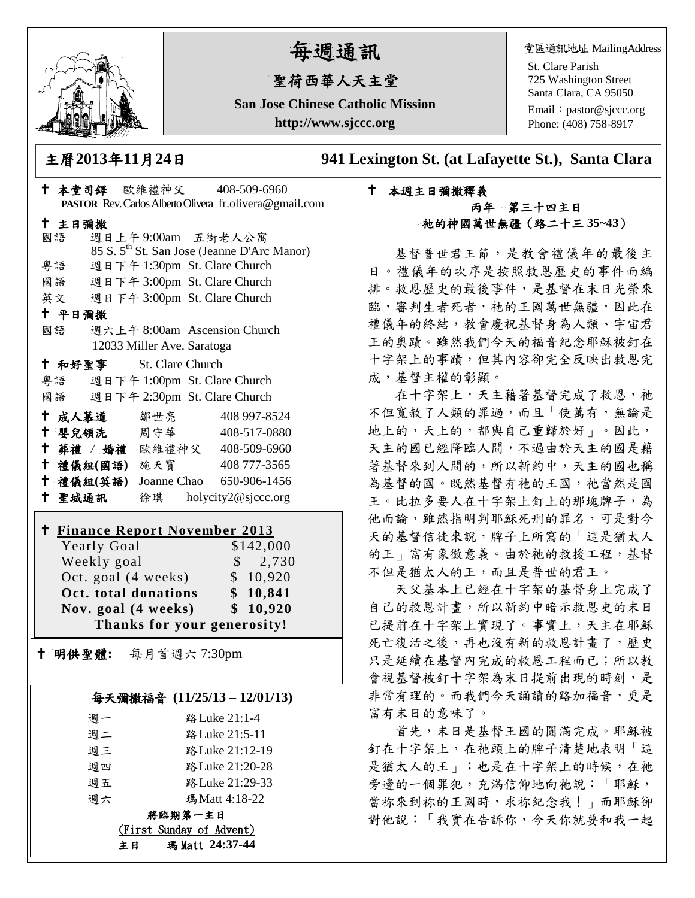

# 每週通訊

## 聖荷西華人天主堂

**San Jose Chinese Catholic Mission http://www.sjccc.org**

堂區通訊地址 MailingAddress

St. Clare Parish 725 Washington Street Santa Clara, CA 95050

Email: [pastor@sjccc.org](mailto:pastor@sjccc.org) Phone: (408) 758-8917

主曆**2013**年**11**月**24**日 **941 Lexington St. (at Lafayette St.), Santa Clara** 

#### 本週主日彌撒釋義 丙年 第三十四主日 祂的神國萬世無疆(路二十三 **35~43**)

基督普世君王節,是教會禮儀年的最後主 日。禮儀年的次序是按照救恩歷史的事件而編 排。救恩歷史的最後事件,是基督在末日光榮來 臨,審判生者死者,祂的王國萬世無疆,因此在 禮儀年的終結,教會慶祝基督身為人類、宇宙君 王的奧蹟。雖然我們今天的福音紀念耶穌被釘在 十字架上的事蹟,但其內容卻完全反映出救恩完 成,基督主權的彰顯。

在十字架上,天主藉著基督完成了救恩,祂 不但寬赦了人類的罪過,而且「使萬有,無論是 地上的,天上的,都與自己重歸於好」。因此, 天主的國已經降臨人間,不過由於天主的國是藉 著基督來到人間的,所以新約中,天主的國也稱 為基督的國。既然基督有祂的王國,祂當然是國 王。比拉多要人在十字架上釘上的那塊牌子,為 他而論,雖然指明判耶穌死刑的罪名,可是對今 天的基督信徒來說,牌子上所寫的「這是猶太人 的王」富有象徵意義。由於祂的救援工程,基督 不但是猶太人的王,而且是普世的君王。

天父基本上已經在十字架的基督身上完成了 自己的救恩計畫,所以新約中暗示救恩史的末日 已提前在十字架上實現了。事實上,天主在耶穌 死亡復活之後,再也沒有新的救恩計畫了,歷史 只是延續在基督內完成的救恩工程而已;所以教 會視基督被釘十字架為末日提前出現的時刻,是 非常有理的。而我們今天誦讀的路加福音,更是 富有末日的意味了。

首先,末日是基督王國的圓滿完成。耶穌被 釘在十字架上,在祂頭上的牌子清楚地表明「這 是猶太人的王」;也是在十字架上的時候,在祂 旁邊的一個罪犯,充滿信仰地向祂說:「耶穌, 當祢來到祢的王國時,求祢紀念我!」而耶穌卻 對他說:「我實在告訴你,今天你就要和我一起

| † 本堂司鐸 歐維禮神父 408-509-6960                                                |                              | PASTOR Rev. Carlos Alberto Olivera fr.olivera@gmail.com |
|--------------------------------------------------------------------------|------------------------------|---------------------------------------------------------|
|                                                                          |                              |                                                         |
| 十 主日彌撒<br>國語                                                             | 週日上午9:00am 五街老人公寓            |                                                         |
|                                                                          |                              | 85 S. 5 <sup>th</sup> St. San Jose (Jeanne D'Arc Manor) |
| 粤語                                                                       | 週日下午 1:30pm St. Clare Church |                                                         |
| 國語 週日下午 3:00pm St. Clare Church                                          |                              |                                                         |
| 英文 週日下午 3:00pm St. Clare Church                                          |                              |                                                         |
| 十 平日彌撒                                                                   |                              |                                                         |
| 國語                                                                       | 週六上午 8:00am Ascension Church |                                                         |
|                                                                          | 12033 Miller Ave. Saratoga   |                                                         |
| † 和好聖事 St. Clare Church                                                  |                              |                                                         |
| 粤語 週日下午 1:00pm St. Clare Church                                          |                              |                                                         |
| 國語 週日下午 2:30pm St. Clare Church                                          |                              |                                                         |
| ← 成人慕道   鄒世亮                                                             |                              | 408 997-8524                                            |
| <sup>†</sup> 嬰兒領洗 周守華 408-517-0880                                       |                              |                                                         |
| † 葬禮 / 婚禮 歐維禮神父 408-509-6960                                             |                              |                                                         |
| † 禮儀組(國語) 施天寶                                                            |                              | 408 777-3565                                            |
| † 禮儀組(英語) Joanne Chao 650-906-1456                                       |                              |                                                         |
| + 聖城通訊 徐琪 holycity2@sjccc.org                                            |                              |                                                         |
| <u>† Finance Report November 2013</u><br>\$142,000<br><b>Yearly Goal</b> |                              |                                                         |
| Weekly goal                                                              |                              | \$2,730                                                 |
| Oct. goal (4 weeks)<br>\$10,920                                          |                              |                                                         |
|                                                                          | Oct. total donations         | \$10,841                                                |
| Nov. goal (4 weeks)                                                      |                              | \$10,920                                                |
| Thanks for your generosity!                                              |                              |                                                         |
| 明供聖體: 每月首週六 7:30pm<br>Ť.                                                 |                              |                                                         |
|                                                                          |                              | 每天彌撒福音 (11/25/13-12/01/13)                              |
| 週一                                                                       | 路 Luke 21:1-4                |                                                         |
| 週二                                                                       | 路 Luke 21:5-11               |                                                         |
| 週三                                                                       | 路 Luke 21:12-19              |                                                         |
| 週四                                                                       | 路 Luke 21:20-28              |                                                         |
| 週五                                                                       | 路 Luke 21:29-33              |                                                         |
| 週六                                                                       | 瑪Matt 4:18-22                |                                                         |
| <u> 將臨期第一主日</u>                                                          |                              |                                                         |
| (First Sunday of Advent)                                                 |                              |                                                         |

主日 瑪 Matt **24:37-44**